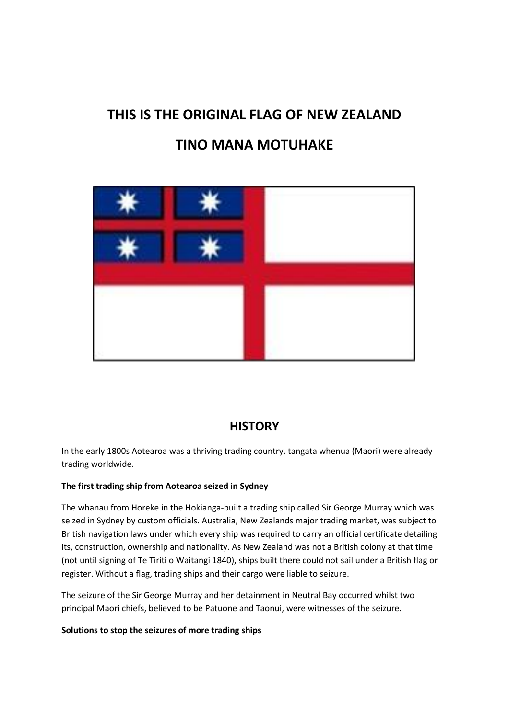# **THIS IS THE ORIGINAL FLAG OF NEW ZEALAND**

# **TINO MANA MOTUHAKE**



# **HISTORY**

In the early 1800s Aotearoa was a thriving trading country, tangata whenua (Maori) were already trading worldwide.

#### **The first trading ship from Aotearoa seized in Sydney**

The whanau from Horeke in the Hokianga-built a trading ship called Sir George Murray which was seized in Sydney by custom officials. Australia, New Zealands major trading market, was subject to British navigation laws under which every ship was required to carry an official certificate detailing its, construction, ownership and nationality. As New Zealand was not a British colony at that time (not until signing of Te Tiriti o Waitangi 1840), ships built there could not sail under a British flag or register. Without a flag, trading ships and their cargo were liable to seizure.

The seizure of the Sir George Murray and her detainment in Neutral Bay occurred whilst two principal Maori chiefs, believed to be Patuone and Taonui, were witnesses of the seizure.

#### **Solutions to stop the seizures of more trading ships**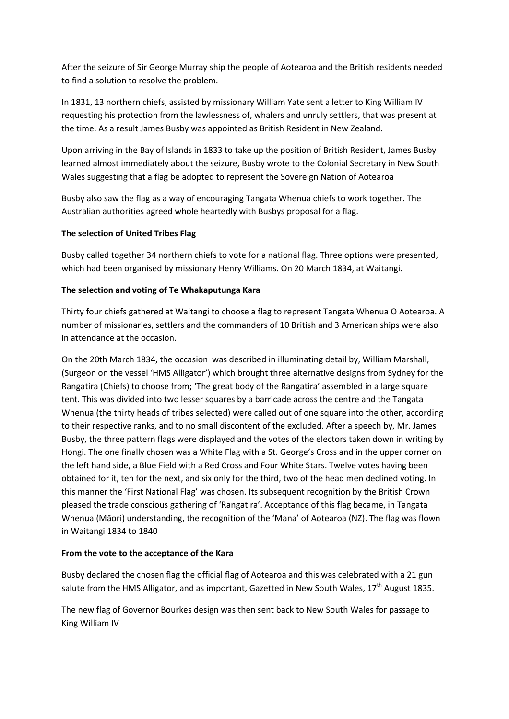After the seizure of Sir George Murray ship the people of Aotearoa and the British residents needed to find a solution to resolve the problem.

In 1831, 13 northern chiefs, assisted by missionary William Yate sent a letter to King William IV requesting his protection from the lawlessness of, whalers and unruly settlers, that was present at the time. As a result James Busby was appointed as British Resident in New Zealand.

Upon arriving in the Bay of Islands in 1833 to take up the position of British Resident, James Busby learned almost immediately about the seizure, Busby wrote to the Colonial Secretary in New South Wales suggesting that a flag be adopted to represent the Sovereign Nation of Aotearoa

Busby also saw the flag as a way of encouraging Tangata Whenua chiefs to work together. The Australian authorities agreed whole heartedly with Busbys proposal for a flag.

### **The selection of United Tribes Flag**

Busby called together 34 northern chiefs to vote for a national flag. Three options were presented, which had been organised by missionary Henry Williams. On 20 March 1834, at Waitangi.

#### **The selection and voting of Te Whakaputunga Kara**

Thirty four chiefs gathered at Waitangi to choose a flag to represent Tangata Whenua O Aotearoa. A number of missionaries, settlers and the commanders of 10 British and 3 American ships were also in attendance at the occasion.

On the 20th March 1834, the occasion was described in illuminating detail by, William Marshall, (Surgeon on the vessel 'HMS Alligator') which brought three alternative designs from Sydney for the Rangatira (Chiefs) to choose from; 'The great body of the Rangatira' assembled in a large square tent. This was divided into two lesser squares by a barricade across the centre and the Tangata Whenua (the thirty heads of tribes selected) were called out of one square into the other, according to their respective ranks, and to no small discontent of the excluded. After a speech by, Mr. James Busby, the three pattern flags were displayed and the votes of the electors taken down in writing by Hongi. The one finally chosen was a White Flag with a St. George's Cross and in the upper corner on the left hand side, a Blue Field with a Red Cross and Four White Stars. Twelve votes having been obtained for it, ten for the next, and six only for the third, two of the head men declined voting. In this manner the 'First National Flag' was chosen. Its subsequent recognition by the British Crown pleased the trade conscious gathering of 'Rangatira'. Acceptance of this flag became, in Tangata Whenua (Māori) understanding, the recognition of the 'Mana' of Aotearoa (NZ). The flag was flown in Waitangi 1834 to 1840

#### **From the vote to the acceptance of the Kara**

Busby declared the chosen flag the official flag of Aotearoa and this was celebrated with a 21 gun salute from the HMS Alligator, and as important, Gazetted in New South Wales,  $17<sup>th</sup>$  August 1835.

The new flag of Governor Bourkes design was then sent back to New South Wales for passage to King William IV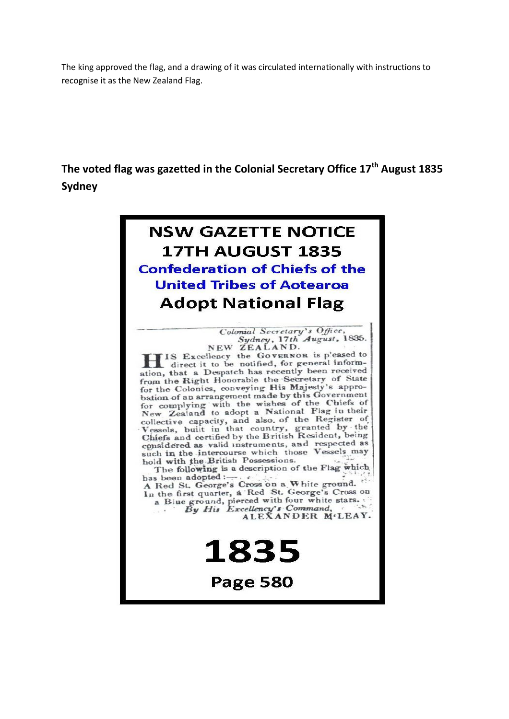The king approved the flag, and a drawing of it was circulated internationally with instructions to recognise it as the New Zealand Flag.

**The voted flag was gazetted in the Colonial Secretary Office 17th August 1835 Sydney**

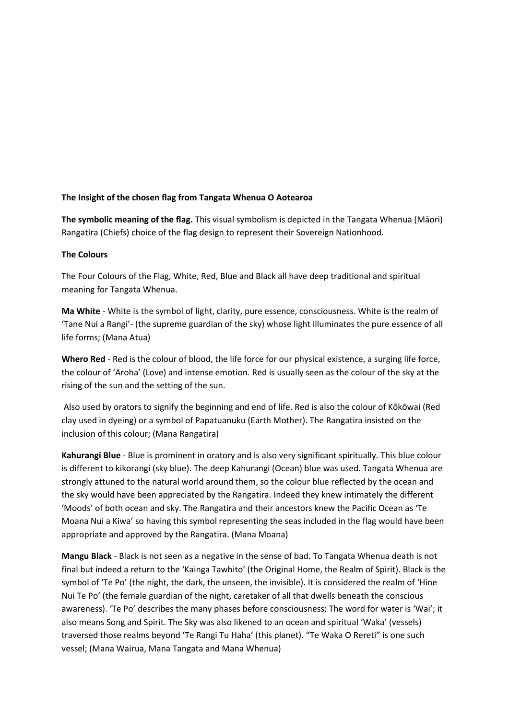#### **The Insight of the chosen flag from Tangata Whenua O Aotearoa**

**The symbolic meaning of the flag.** This visual symbolism is depicted in the Tangata Whenua (Māori) Rangatira (Chiefs) choice of the flag design to represent their Sovereign Nationhood.

#### **The Colours**

The Four Colours of the Flag, White, Red, Blue and Black all have deep traditional and spiritual meaning for Tangata Whenua.

**Ma White** - White is the symbol of light, clarity, pure essence, consciousness. White is the realm of 'Tane Nui a Rangi'- (the supreme guardian of the sky) whose light illuminates the pure essence of all life forms; (Mana Atua)

**Whero Red** - Red is the colour of blood, the life force for our physical existence, a surging life force, the colour of 'Aroha' (Love) and intense emotion. Red is usually seen as the colour of the sky at the rising of the sun and the setting of the sun.

Also used by orators to signify the beginning and end of life. Red is also the colour of Kōkōwai (Red clay used in dyeing) or a symbol of Papatuanuku (Earth Mother). The Rangatira insisted on the inclusion of this colour; (Mana Rangatira)

**Kahurangi Blue** - Blue is prominent in oratory and is also very significant spiritually. This blue colour is different to kikorangi (sky blue). The deep Kahurangi (Ocean) blue was used. Tangata Whenua are strongly attuned to the natural world around them, so the colour blue reflected by the ocean and the sky would have been appreciated by the Rangatira. Indeed they knew intimately the different 'Moods' of both ocean and sky. The Rangatira and their ancestors knew the Pacific Ocean as 'Te Moana Nui a Kiwa' so having this symbol representing the seas included in the flag would have been appropriate and approved by the Rangatira. (Mana Moana)

**Mangu Black** - Black is not seen as a negative in the sense of bad. To Tangata Whenua death is not final but indeed a return to the 'Kainga Tawhito' (the Original Home, the Realm of Spirit). Black is the symbol of 'Te Po' (the night, the dark, the unseen, the invisible). It is considered the realm of 'Hine Nui Te Po' (the female guardian of the night, caretaker of all that dwells beneath the conscious awareness). 'Te Po' describes the many phases before consciousness; The word for water is 'Wai'; it also means Song and Spirit. The Sky was also likened to an ocean and spiritual 'Waka' (vessels) traversed those realms beyond 'Te Rangi Tu Haha' (this planet). "Te Waka O Rereti" is one such vessel; (Mana Wairua, Mana Tangata and Mana Whenua)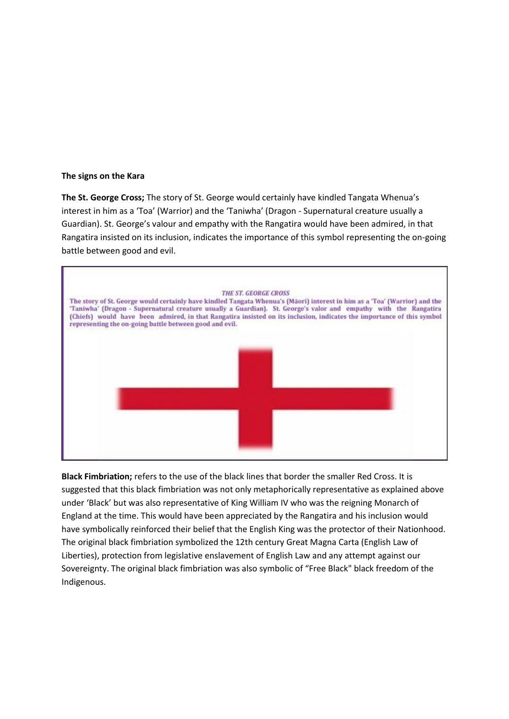#### **The signs on the Kara**

**The St. George Cross;** The story of St. George would certainly have kindled Tangata Whenua's interest in him as a 'Toa' (Warrior) and the 'Taniwha' (Dragon - Supernatural creature usually a Guardian). St. George's valour and empathy with the Rangatira would have been admired, in that Rangatira insisted on its inclusion, indicates the importance of this symbol representing the on-going battle between good and evil.



**Black Fimbriation;** refers to the use of the black lines that border the smaller Red Cross. It is suggested that this black fimbriation was not only metaphorically representative as explained above under 'Black' but was also representative of King William IV who was the reigning Monarch of England at the time. This would have been appreciated by the Rangatira and his inclusion would have symbolically reinforced their belief that the English King was the protector of their Nationhood. The original black fimbriation symbolized the 12th century Great Magna Carta (English Law of Liberties), protection from legislative enslavement of English Law and any attempt against our Sovereignty. The original black fimbriation was also symbolic of "Free Black" black freedom of the Indigenous.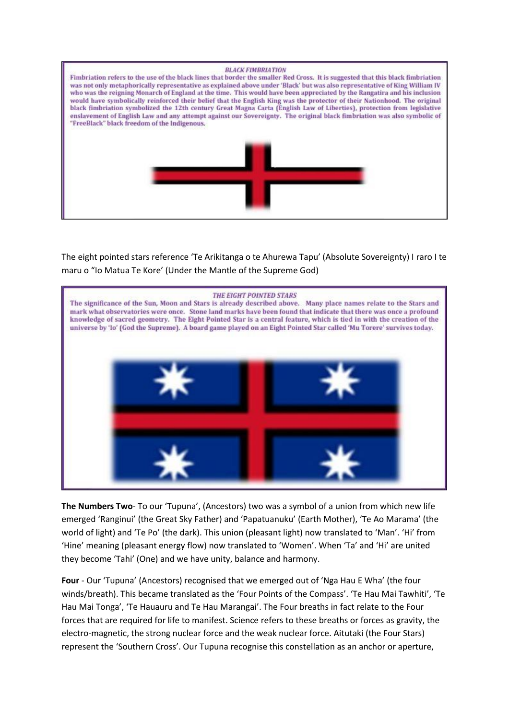

The eight pointed stars reference 'Te Arikitanga o te Ahurewa Tapu' (Absolute Sovereignty) I raro I te maru o "Io Matua Te Kore' (Under the Mantle of the Supreme God)



**The Numbers Two**- To our 'Tupuna', (Ancestors) two was a symbol of a union from which new life emerged 'Ranginui' (the Great Sky Father) and 'Papatuanuku' (Earth Mother), 'Te Ao Marama' (the world of light) and 'Te Po' (the dark). This union (pleasant light) now translated to 'Man'. 'Hi' from 'Hine' meaning (pleasant energy flow) now translated to 'Women'. When 'Ta' and 'Hi' are united they become 'Tahi' (One) and we have unity, balance and harmony.

**Four** - Our 'Tupuna' (Ancestors) recognised that we emerged out of 'Nga Hau E Wha' (the four winds/breath). This became translated as the 'Four Points of the Compass'. 'Te Hau Mai Tawhiti', 'Te Hau Mai Tonga', 'Te Hauauru and Te Hau Marangai'. The Four breaths in fact relate to the Four forces that are required for life to manifest. Science refers to these breaths or forces as gravity, the electro-magnetic, the strong nuclear force and the weak nuclear force. Aitutaki (the Four Stars) represent the 'Southern Cross'. Our Tupuna recognise this constellation as an anchor or aperture,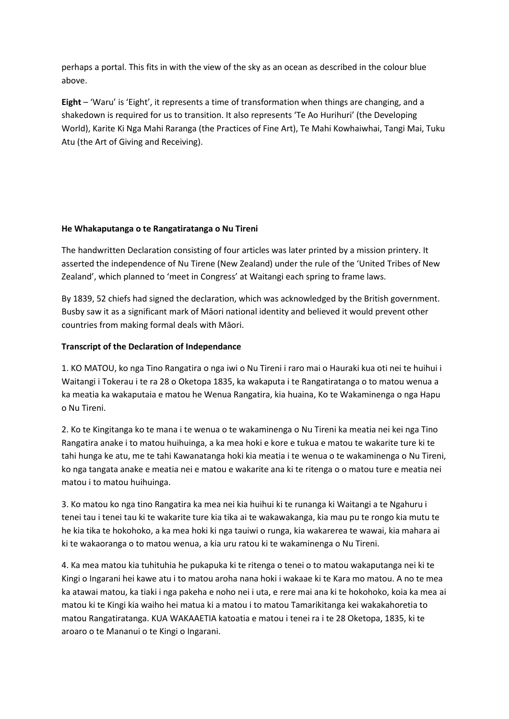perhaps a portal. This fits in with the view of the sky as an ocean as described in the colour blue above.

**Eight** – 'Waru' is 'Eight', it represents a time of transformation when things are changing, and a shakedown is required for us to transition. It also represents 'Te Ao Hurihuri' (the Developing World), Karite Ki Nga Mahi Raranga (the Practices of Fine Art), Te Mahi Kowhaiwhai, Tangi Mai, Tuku Atu (the Art of Giving and Receiving).

## **He Whakaputanga o te Rangatiratanga o Nu Tireni**

The handwritten Declaration consisting of four articles was later printed by a mission printery. It asserted the independence of Nu Tirene (New Zealand) under the rule of the 'United Tribes of New Zealand', which planned to 'meet in Congress' at Waitangi each spring to frame laws.

By 1839, 52 chiefs had signed the declaration, which was acknowledged by the British government. Busby saw it as a significant mark of Māori national identity and believed it would prevent other countries from making formal deals with Māori.

## **Transcript of the Declaration of Independance**

1. KO MATOU, ko nga Tino Rangatira o nga iwi o Nu Tireni i raro mai o Hauraki kua oti nei te huihui i Waitangi i Tokerau i te ra 28 o Oketopa 1835, ka wakaputa i te Rangatiratanga o to matou wenua a ka meatia ka wakaputaia e matou he Wenua Rangatira, kia huaina, Ko te Wakaminenga o nga Hapu o Nu Tireni.

2. Ko te Kingitanga ko te mana i te wenua o te wakaminenga o Nu Tireni ka meatia nei kei nga Tino Rangatira anake i to matou huihuinga, a ka mea hoki e kore e tukua e matou te wakarite ture ki te tahi hunga ke atu, me te tahi Kawanatanga hoki kia meatia i te wenua o te wakaminenga o Nu Tireni, ko nga tangata anake e meatia nei e matou e wakarite ana ki te ritenga o o matou ture e meatia nei matou i to matou huihuinga.

3. Ko matou ko nga tino Rangatira ka mea nei kia huihui ki te runanga ki Waitangi a te Ngahuru i tenei tau i tenei tau ki te wakarite ture kia tika ai te wakawakanga, kia mau pu te rongo kia mutu te he kia tika te hokohoko, a ka mea hoki ki nga tauiwi o runga, kia wakarerea te wawai, kia mahara ai ki te wakaoranga o to matou wenua, a kia uru ratou ki te wakaminenga o Nu Tireni.

4. Ka mea matou kia tuhituhia he pukapuka ki te ritenga o tenei o to matou wakaputanga nei ki te Kingi o Ingarani hei kawe atu i to matou aroha nana hoki i wakaae ki te Kara mo matou. A no te mea ka atawai matou, ka tiaki i nga pakeha e noho nei i uta, e rere mai ana ki te hokohoko, koia ka mea ai matou ki te Kingi kia waiho hei matua ki a matou i to matou Tamarikitanga kei wakakahoretia to matou Rangatiratanga. KUA WAKAAETIA katoatia e matou i tenei ra i te 28 Oketopa, 1835, ki te aroaro o te Mananui o te Kingi o Ingarani.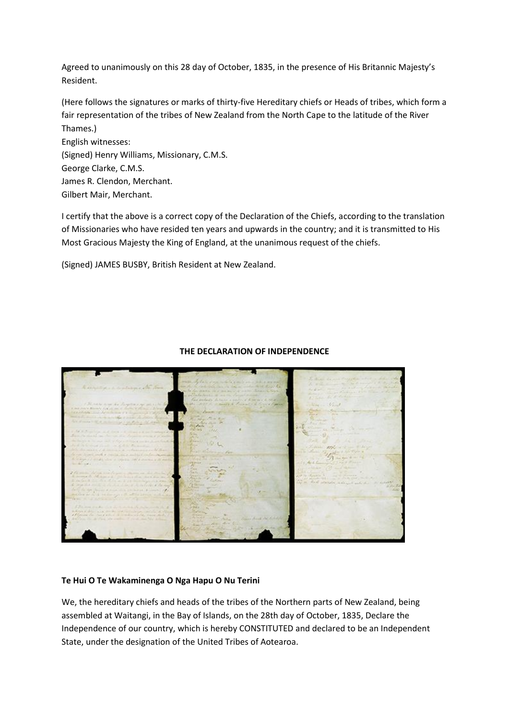Agreed to unanimously on this 28 day of October, 1835, in the presence of His Britannic Majesty's Resident.

(Here follows the signatures or marks of thirty-five Hereditary chiefs or Heads of tribes, which form a fair representation of the tribes of New Zealand from the North Cape to the latitude of the River Thames.) English witnesses: (Signed) Henry Williams, Missionary, C.M.S. George Clarke, C.M.S. James R. Clendon, Merchant.

Gilbert Mair, Merchant.

I certify that the above is a correct copy of the Declaration of the Chiefs, according to the translation of Missionaries who have resided ten years and upwards in the country; and it is transmitted to His Most Gracious Majesty the King of England, at the unanimous request of the chiefs.

(Signed) JAMES BUSBY, British Resident at New Zealand.

# **THE DECLARATION OF INDEPENDENCE**



## **Te Hui O Te Wakaminenga O Nga Hapu O Nu Terini**

We, the hereditary chiefs and heads of the tribes of the Northern parts of New Zealand, being assembled at Waitangi, in the Bay of Islands, on the 28th day of October, 1835, Declare the Independence of our country, which is hereby CONSTITUTED and declared to be an Independent State, under the designation of the United Tribes of Aotearoa.